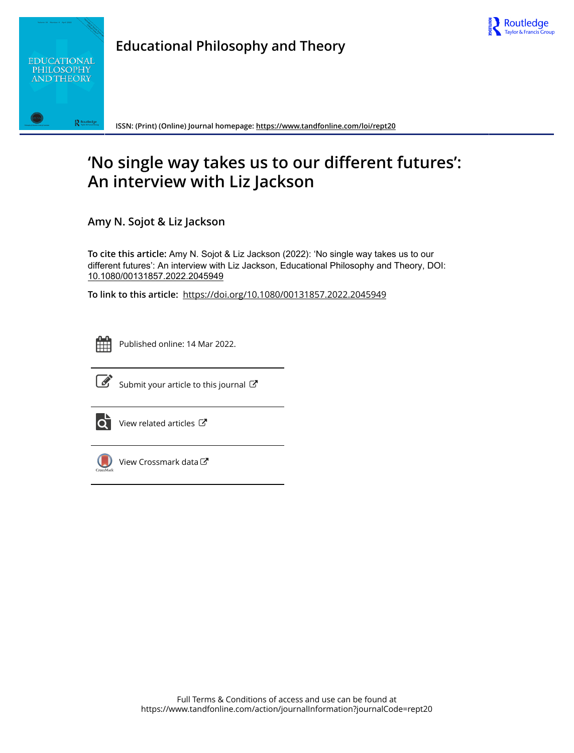



**Educational Philosophy and Theory**

**ISSN: (Print) (Online) Journal homepage:<https://www.tandfonline.com/loi/rept20>**

# **'No single way takes us to our different futures': An interview with Liz Jackson**

**Amy N. Sojot & Liz Jackson**

**To cite this article:** Amy N. Sojot & Liz Jackson (2022): 'No single way takes us to our different futures': An interview with Liz Jackson, Educational Philosophy and Theory, DOI: [10.1080/00131857.2022.2045949](https://www.tandfonline.com/action/showCitFormats?doi=10.1080/00131857.2022.2045949)

**To link to this article:** <https://doi.org/10.1080/00131857.2022.2045949>



Published online: 14 Mar 2022.



 $\overrightarrow{S}$  [Submit your article to this journal](https://www.tandfonline.com/action/authorSubmission?journalCode=rept20&show=instructions)  $\overrightarrow{S}$ 



 $\bullet$  [View related articles](https://www.tandfonline.com/doi/mlt/10.1080/00131857.2022.2045949)  $\mathbb{Z}$ 



 $\bigcup$  [View Crossmark data](http://crossmark.crossref.org/dialog/?doi=10.1080/00131857.2022.2045949&domain=pdf&date_stamp=2022-03-14) $G$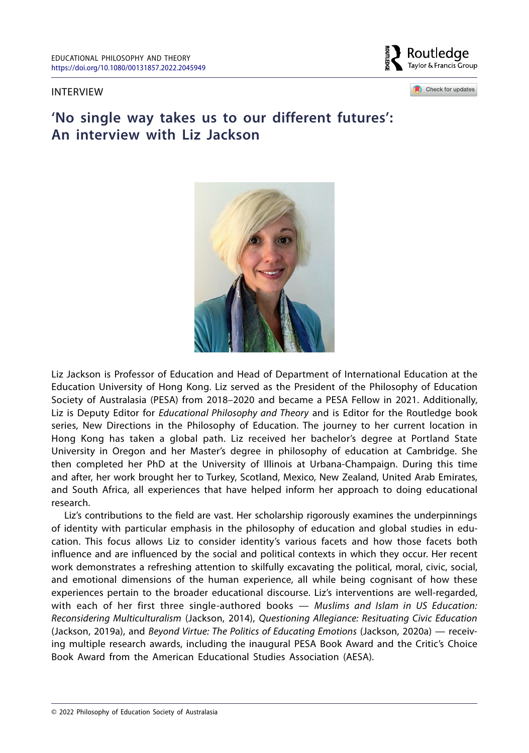## INTERVIEW

Routledge Tavlor & Francis Group

Check for updates

# **'No single way takes us to our different futures': An interview with Liz Jackson**



Liz Jackson is Professor of Education and Head of Department of International Education at the Education University of Hong Kong. Liz served as the President of the Philosophy of Education Society of Australasia (PESA) from 2018–2020 and became a PESA Fellow in 2021. Additionally, Liz is Deputy Editor for *Educational Philosophy and Theory* and is Editor for the Routledge book series, New Directions in the Philosophy of Education. The journey to her current location in Hong Kong has taken a global path. Liz received her bachelor's degree at Portland State University in Oregon and her Master's degree in philosophy of education at Cambridge. She then completed her PhD at the University of Illinois at Urbana-Champaign. During this time and after, her work brought her to Turkey, Scotland, Mexico, New Zealand, United Arab Emirates, and South Africa, all experiences that have helped inform her approach to doing educational research.

Liz's contributions to the field are vast. Her scholarship rigorously examines the underpinnings of identity with particular emphasis in the philosophy of education and global studies in education. This focus allows Liz to consider identity's various facets and how those facets both influence and are influenced by the social and political contexts in which they occur. Her recent work demonstrates a refreshing attention to skilfully excavating the political, moral, civic, social, and emotional dimensions of the human experience, all while being cognisant of how these experiences pertain to the broader educational discourse. Liz's interventions are well-regarded, with each of her first three single-authored books — *Muslims and Islam in US Education: Reconsidering Multiculturalism* (Jackson, 2014), *Questioning Allegiance: Resituating Civic Education* (Jackson, 2019a), and *Beyond Virtue: The Politics of Educating Emotions* (Jackson, 2020a) — receiving multiple research awards, including the inaugural PESA Book Award and the Critic's Choice Book Award from the American Educational Studies Association (AESA).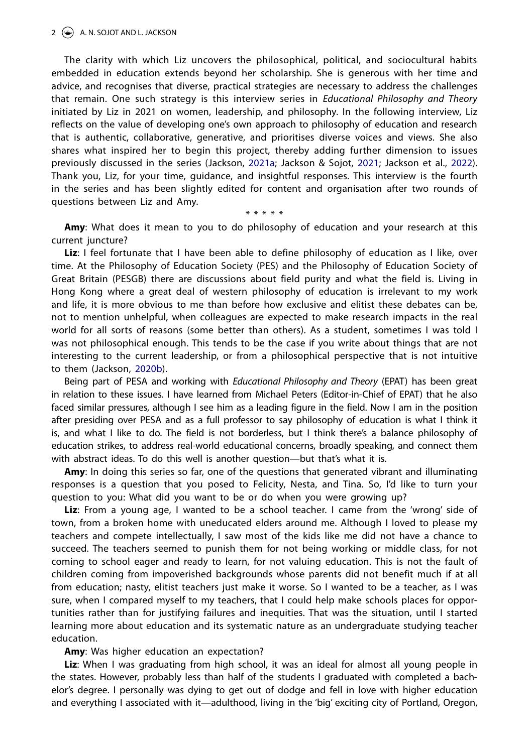#### $2 \leftrightarrow$  A. N. SOJOT AND L. JACKSON

The clarity with which Liz uncovers the philosophical, political, and sociocultural habits embedded in education extends beyond her scholarship. She is generous with her time and advice, and recognises that diverse, practical strategies are necessary to address the challenges that remain. One such strategy is this interview series in *Educational Philosophy and Theory* initiated by Liz in 2021 on women, leadership, and philosophy. In the following interview, Liz reflects on the value of developing one's own approach to philosophy of education and research that is authentic, collaborative, generative, and prioritises diverse voices and views. She also shares what inspired her to begin this project, thereby adding further dimension to issues previously discussed in the series (Jackson, [2021a](#page-8-0); Jackson & Sojot, [2021](#page-9-0); Jackson et al., [2022](#page-9-1)). Thank you, Liz, for your time, guidance, and insightful responses. This interview is the fourth in the series and has been slightly edited for content and organisation after two rounds of questions between Liz and Amy.

<span id="page-2-3"></span><span id="page-2-2"></span>\* \* \* \* \*

<span id="page-2-1"></span>**Amy**: What does it mean to you to do philosophy of education and your research at this current juncture?

**Liz**: I feel fortunate that I have been able to define philosophy of education as I like, over time. At the Philosophy of Education Society (PES) and the Philosophy of Education Society of Great Britain (PESGB) there are discussions about field purity and what the field is. Living in Hong Kong where a great deal of western philosophy of education is irrelevant to my work and life, it is more obvious to me than before how exclusive and elitist these debates can be, not to mention unhelpful, when colleagues are expected to make research impacts in the real world for all sorts of reasons (some better than others). As a student, sometimes I was told I was not philosophical enough. This tends to be the case if you write about things that are not interesting to the current leadership, or from a philosophical perspective that is not intuitive to them (Jackson, [2020b](#page-8-1)).

<span id="page-2-0"></span>Being part of PESA and working with *Educational Philosophy and Theory* (EPAT) has been great in relation to these issues. I have learned from Michael Peters (Editor-in-Chief of EPAT) that he also faced similar pressures, although I see him as a leading figure in the field. Now I am in the position after presiding over PESA and as a full professor to say philosophy of education is what I think it is, and what I like to do. The field is not borderless, but I think there's a balance philosophy of education strikes, to address real-world educational concerns, broadly speaking, and connect them with abstract ideas. To do this well is another question—but that's what it is.

**Amy**: In doing this series so far, one of the questions that generated vibrant and illuminating responses is a question that you posed to Felicity, Nesta, and Tina. So, I'd like to turn your question to you: What did you want to be or do when you were growing up?

**Liz**: From a young age, I wanted to be a school teacher. I came from the 'wrong' side of town, from a broken home with uneducated elders around me. Although I loved to please my teachers and compete intellectually, I saw most of the kids like me did not have a chance to succeed. The teachers seemed to punish them for not being working or middle class, for not coming to school eager and ready to learn, for not valuing education. This is not the fault of children coming from impoverished backgrounds whose parents did not benefit much if at all from education; nasty, elitist teachers just make it worse. So I wanted to be a teacher, as I was sure, when I compared myself to my teachers, that I could help make schools places for opportunities rather than for justifying failures and inequities. That was the situation, until I started learning more about education and its systematic nature as an undergraduate studying teacher education.

**Amy**: Was higher education an expectation?

**Liz**: When I was graduating from high school, it was an ideal for almost all young people in the states. However, probably less than half of the students I graduated with completed a bachelor's degree. I personally was dying to get out of dodge and fell in love with higher education and everything I associated with it—adulthood, living in the 'big' exciting city of Portland, Oregon,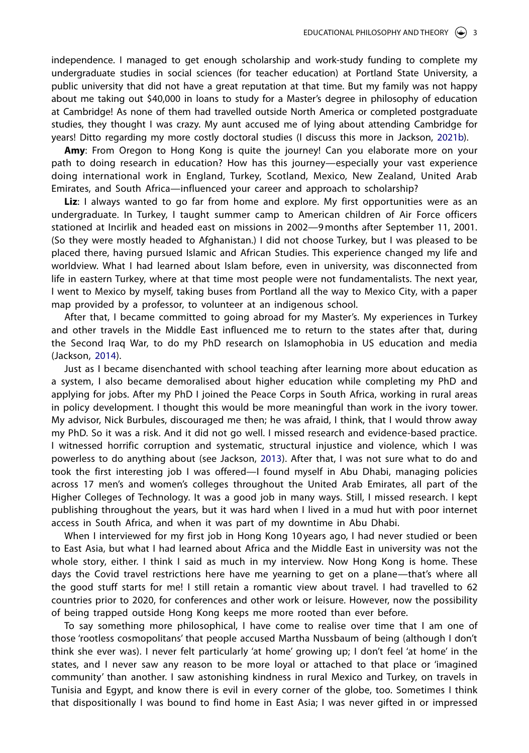independence. I managed to get enough scholarship and work-study funding to complete my undergraduate studies in social sciences (for teacher education) at Portland State University, a public university that did not have a great reputation at that time. But my family was not happy about me taking out \$40,000 in loans to study for a Master's degree in philosophy of education at Cambridge! As none of them had travelled outside North America or completed postgraduate studies, they thought I was crazy. My aunt accused me of lying about attending Cambridge for years! Ditto regarding my more costly doctoral studies (I discuss this more in Jackson, [2021b\)](#page-8-2).

<span id="page-3-2"></span>**Amy**: From Oregon to Hong Kong is quite the journey! Can you elaborate more on your path to doing research in education? How has this journey—especially your vast experience doing international work in England, Turkey, Scotland, Mexico, New Zealand, United Arab Emirates, and South Africa—influenced your career and approach to scholarship?

Liz: I always wanted to go far from home and explore. My first opportunities were as an undergraduate. In Turkey, I taught summer camp to American children of Air Force officers stationed at Incirlik and headed east on missions in 2002—9months after September 11, 2001. (So they were mostly headed to Afghanistan.) I did not choose Turkey, but I was pleased to be placed there, having pursued Islamic and African Studies. This experience changed my life and worldview. What I had learned about Islam before, even in university, was disconnected from life in eastern Turkey, where at that time most people were not fundamentalists. The next year, I went to Mexico by myself, taking buses from Portland all the way to Mexico City, with a paper map provided by a professor, to volunteer at an indigenous school.

After that, I became committed to going abroad for my Master's. My experiences in Turkey and other travels in the Middle East influenced me to return to the states after that, during the Second Iraq War, to do my PhD research on Islamophobia in US education and media (Jackson, [2014](#page-8-3)).

<span id="page-3-1"></span>Just as I became disenchanted with school teaching after learning more about education as a system, I also became demoralised about higher education while completing my PhD and applying for jobs. After my PhD I joined the Peace Corps in South Africa, working in rural areas in policy development. I thought this would be more meaningful than work in the ivory tower. My advisor, Nick Burbules, discouraged me then; he was afraid, I think, that I would throw away my PhD. So it was a risk. And it did not go well. I missed research and evidence-based practice. I witnessed horrific corruption and systematic, structural injustice and violence, which I was powerless to do anything about (see Jackson, [2013\)](#page-8-4). After that, I was not sure what to do and took the first interesting job I was offered—I found myself in Abu Dhabi, managing policies across 17 men's and women's colleges throughout the United Arab Emirates, all part of the Higher Colleges of Technology. It was a good job in many ways. Still, I missed research. I kept publishing throughout the years, but it was hard when I lived in a mud hut with poor internet access in South Africa, and when it was part of my downtime in Abu Dhabi.

<span id="page-3-0"></span>When I interviewed for my first job in Hong Kong 10 years ago, I had never studied or been to East Asia, but what I had learned about Africa and the Middle East in university was not the whole story, either. I think I said as much in my interview. Now Hong Kong is home. These days the Covid travel restrictions here have me yearning to get on a plane—that's where all the good stuff starts for me! I still retain a romantic view about travel. I had travelled to 62 countries prior to 2020, for conferences and other work or leisure. However, now the possibility of being trapped outside Hong Kong keeps me more rooted than ever before.

To say something more philosophical, I have come to realise over time that I am one of those 'rootless cosmopolitans' that people accused Martha Nussbaum of being (although I don't think she ever was). I never felt particularly 'at home' growing up; I don't feel 'at home' in the states, and I never saw any reason to be more loyal or attached to that place or 'imagined community' than another. I saw astonishing kindness in rural Mexico and Turkey, on travels in Tunisia and Egypt, and know there is evil in every corner of the globe, too. Sometimes I think that dispositionally I was bound to find home in East Asia; I was never gifted in or impressed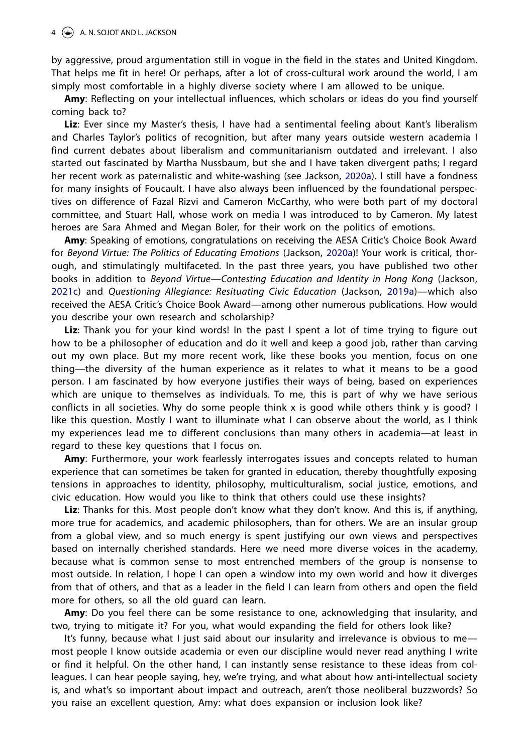by aggressive, proud argumentation still in vogue in the field in the states and United Kingdom. That helps me fit in here! Or perhaps, after a lot of cross-cultural work around the world, I am simply most comfortable in a highly diverse society where I am allowed to be unique.

**Amy**: Reflecting on your intellectual influences, which scholars or ideas do you find yourself coming back to?

<span id="page-4-1"></span>**Liz**: Ever since my Master's thesis, I have had a sentimental feeling about Kant's liberalism and Charles Taylor's politics of recognition, but after many years outside western academia I find current debates about liberalism and communitarianism outdated and irrelevant. I also started out fascinated by Martha Nussbaum, but she and I have taken divergent paths; I regard her recent work as paternalistic and white-washing (see Jackson, [2020a](#page-8-5)). I still have a fondness for many insights of Foucault. I have also always been influenced by the foundational perspectives on difference of Fazal Rizvi and Cameron McCarthy, who were both part of my doctoral committee, and Stuart Hall, whose work on media I was introduced to by Cameron. My latest heroes are Sara Ahmed and Megan Boler, for their work on the politics of emotions.

**Amy**: Speaking of emotions, congratulations on receiving the AESA Critic's Choice Book Award for *Beyond Virtue: The Politics of Educating Emotions* (Jackson, [2020a](#page-8-6))! Your work is critical, thorough, and stimulatingly multifaceted. In the past three years, you have published two other books in addition to *Beyond Virtue—Contesting Education and Identity in Hong Kong* (Jackson, [2021c\)](#page-8-7) and *Questioning Allegiance: Resituating Civic Education* (Jackson, [2019a](#page-8-8))—which also received the AESA Critic's Choice Book Award—among other numerous publications. How would you describe your own research and scholarship?

<span id="page-4-2"></span><span id="page-4-0"></span>**Liz**: Thank you for your kind words! In the past I spent a lot of time trying to figure out how to be a philosopher of education and do it well and keep a good job, rather than carving out my own place. But my more recent work, like these books you mention, focus on one thing—the diversity of the human experience as it relates to what it means to be a good person. I am fascinated by how everyone justifies their ways of being, based on experiences which are unique to themselves as individuals. To me, this is part of why we have serious conflicts in all societies. Why do some people think x is good while others think y is good? I like this question. Mostly I want to illuminate what I can observe about the world, as I think my experiences lead me to different conclusions than many others in academia—at least in regard to these key questions that I focus on.

**Amy**: Furthermore, your work fearlessly interrogates issues and concepts related to human experience that can sometimes be taken for granted in education, thereby thoughtfully exposing tensions in approaches to identity, philosophy, multiculturalism, social justice, emotions, and civic education. How would you like to think that others could use these insights?

**Liz**: Thanks for this. Most people don't know what they don't know. And this is, if anything, more true for academics, and academic philosophers, than for others. We are an insular group from a global view, and so much energy is spent justifying our own views and perspectives based on internally cherished standards. Here we need more diverse voices in the academy, because what is common sense to most entrenched members of the group is nonsense to most outside. In relation, I hope I can open a window into my own world and how it diverges from that of others, and that as a leader in the field I can learn from others and open the field more for others, so all the old guard can learn.

**Amy**: Do you feel there can be some resistance to one, acknowledging that insularity, and two, trying to mitigate it? For you, what would expanding the field for others look like?

It's funny, because what I just said about our insularity and irrelevance is obvious to me most people I know outside academia or even our discipline would never read anything I write or find it helpful. On the other hand, I can instantly sense resistance to these ideas from colleagues. I can hear people saying, hey, we're trying, and what about how anti-intellectual society is, and what's so important about impact and outreach, aren't those neoliberal buzzwords? So you raise an excellent question, Amy: what does expansion or inclusion look like?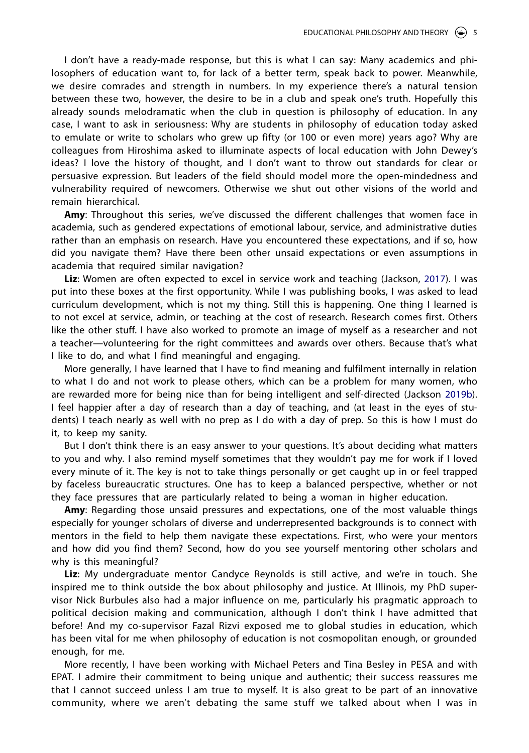I don't have a ready-made response, but this is what I can say: Many academics and philosophers of education want to, for lack of a better term, speak back to power. Meanwhile, we desire comrades and strength in numbers. In my experience there's a natural tension between these two, however, the desire to be in a club and speak one's truth. Hopefully this already sounds melodramatic when the club in question is philosophy of education. In any case, I want to ask in seriousness: Why are students in philosophy of education today asked to emulate or write to scholars who grew up fifty (or 100 or even more) years ago? Why are colleagues from Hiroshima asked to illuminate aspects of local education with John Dewey's ideas? I love the history of thought, and I don't want to throw out standards for clear or persuasive expression. But leaders of the field should model more the open-mindedness and vulnerability required of newcomers. Otherwise we shut out other visions of the world and remain hierarchical.

**Amy**: Throughout this series, we've discussed the different challenges that women face in academia, such as gendered expectations of emotional labour, service, and administrative duties rather than an emphasis on research. Have you encountered these expectations, and if so, how did you navigate them? Have there been other unsaid expectations or even assumptions in academia that required similar navigation?

<span id="page-5-0"></span>**Liz**: Women are often expected to excel in service work and teaching (Jackson, [2017\)](#page-8-9). I was put into these boxes at the first opportunity. While I was publishing books, I was asked to lead curriculum development, which is not my thing. Still this is happening. One thing I learned is to not excel at service, admin, or teaching at the cost of research. Research comes first. Others like the other stuff. I have also worked to promote an image of myself as a researcher and not a teacher—volunteering for the right committees and awards over others. Because that's what I like to do, and what I find meaningful and engaging.

<span id="page-5-1"></span>More generally, I have learned that I have to find meaning and fulfilment internally in relation to what I do and not work to please others, which can be a problem for many women, who are rewarded more for being nice than for being intelligent and self-directed (Jackson [2019b](#page-8-10)). I feel happier after a day of research than a day of teaching, and (at least in the eyes of students) I teach nearly as well with no prep as I do with a day of prep. So this is how I must do it, to keep my sanity.

But I don't think there is an easy answer to your questions. It's about deciding what matters to you and why. I also remind myself sometimes that they wouldn't pay me for work if I loved every minute of it. The key is not to take things personally or get caught up in or feel trapped by faceless bureaucratic structures. One has to keep a balanced perspective, whether or not they face pressures that are particularly related to being a woman in higher education.

**Amy**: Regarding those unsaid pressures and expectations, one of the most valuable things especially for younger scholars of diverse and underrepresented backgrounds is to connect with mentors in the field to help them navigate these expectations. First, who were your mentors and how did you find them? Second, how do you see yourself mentoring other scholars and why is this meaningful?

**Liz**: My undergraduate mentor Candyce Reynolds is still active, and we're in touch. She inspired me to think outside the box about philosophy and justice. At Illinois, my PhD supervisor Nick Burbules also had a major influence on me, particularly his pragmatic approach to political decision making and communication, although I don't think I have admitted that before! And my co-supervisor Fazal Rizvi exposed me to global studies in education, which has been vital for me when philosophy of education is not cosmopolitan enough, or grounded enough, for me.

More recently, I have been working with Michael Peters and Tina Besley in PESA and with EPAT. I admire their commitment to being unique and authentic; their success reassures me that I cannot succeed unless I am true to myself. It is also great to be part of an innovative community, where we aren't debating the same stuff we talked about when I was in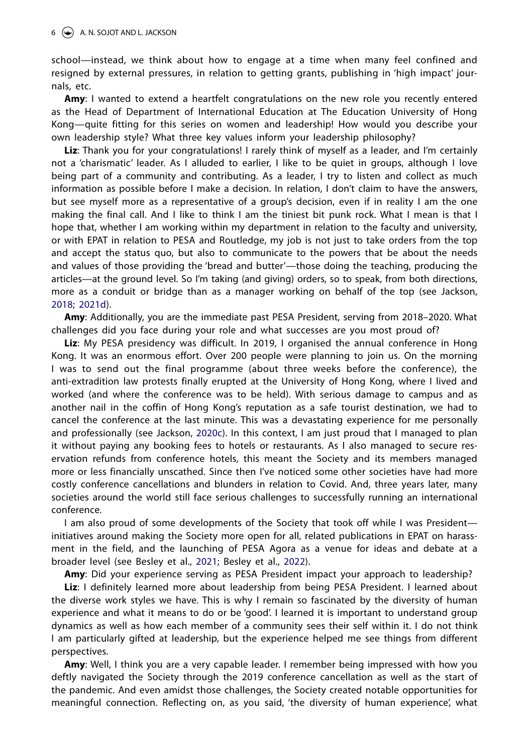school—instead, we think about how to engage at a time when many feel confined and resigned by external pressures, in relation to getting grants, publishing in 'high impact' journals, etc.

**Amy**: I wanted to extend a heartfelt congratulations on the new role you recently entered as the Head of Department of International Education at The Education University of Hong Kong—quite fitting for this series on women and leadership! How would you describe your own leadership style? What three key values inform your leadership philosophy?

**Liz**: Thank you for your congratulations! I rarely think of myself as a leader, and I'm certainly not a 'charismatic' leader. As I alluded to earlier, I like to be quiet in groups, although I love being part of a community and contributing. As a leader, I try to listen and collect as much information as possible before I make a decision. In relation, I don't claim to have the answers, but see myself more as a representative of a group's decision, even if in reality I am the one making the final call. And I like to think I am the tiniest bit punk rock. What I mean is that I hope that, whether I am working within my department in relation to the faculty and university, or with EPAT in relation to PESA and Routledge, my job is not just to take orders from the top and accept the status quo, but also to communicate to the powers that be about the needs and values of those providing the 'bread and butter'—those doing the teaching, producing the articles—at the ground level. So I'm taking (and giving) orders, so to speak, from both directions, more as a conduit or bridge than as a manager working on behalf of the top (see Jackson, [2018;](#page-8-11) [2021d](#page-8-12)).

<span id="page-6-4"></span><span id="page-6-2"></span>**Amy**: Additionally, you are the immediate past PESA President, serving from 2018–2020. What challenges did you face during your role and what successes are you most proud of?

<span id="page-6-3"></span>**Liz**: My PESA presidency was difficult. In 2019, I organised the annual conference in Hong Kong. It was an enormous effort. Over 200 people were planning to join us. On the morning I was to send out the final programme (about three weeks before the conference), the anti-extradition law protests finally erupted at the University of Hong Kong, where I lived and worked (and where the conference was to be held). With serious damage to campus and as another nail in the coffin of Hong Kong's reputation as a safe tourist destination, we had to cancel the conference at the last minute. This was a devastating experience for me personally and professionally (see Jackson, [2020c](#page-8-13)). In this context, I am just proud that I managed to plan it without paying any booking fees to hotels or restaurants. As I also managed to secure reservation refunds from conference hotels, this meant the Society and its members managed more or less financially unscathed. Since then I've noticed some other societies have had more costly conference cancellations and blunders in relation to Covid. And, three years later, many societies around the world still face serious challenges to successfully running an international conference.

I am also proud of some developments of the Society that took off while I was President initiatives around making the Society more open for all, related publications in EPAT on harassment in the field, and the launching of PESA Agora as a venue for ideas and debate at a broader level (see Besley et al., [2021;](#page-8-14) Besley et al., [2022\)](#page-8-15).

<span id="page-6-1"></span><span id="page-6-0"></span>**Amy**: Did your experience serving as PESA President impact your approach to leadership?

**Liz**: I definitely learned more about leadership from being PESA President. I learned about the diverse work styles we have. This is why I remain so fascinated by the diversity of human experience and what it means to do or be 'good'. I learned it is important to understand group dynamics as well as how each member of a community sees their self within it. I do not think I am particularly gifted at leadership, but the experience helped me see things from different perspectives.

**Amy**: Well, I think you are a very capable leader. I remember being impressed with how you deftly navigated the Society through the 2019 conference cancellation as well as the start of the pandemic. And even amidst those challenges, the Society created notable opportunities for meaningful connection. Reflecting on, as you said, 'the diversity of human experience', what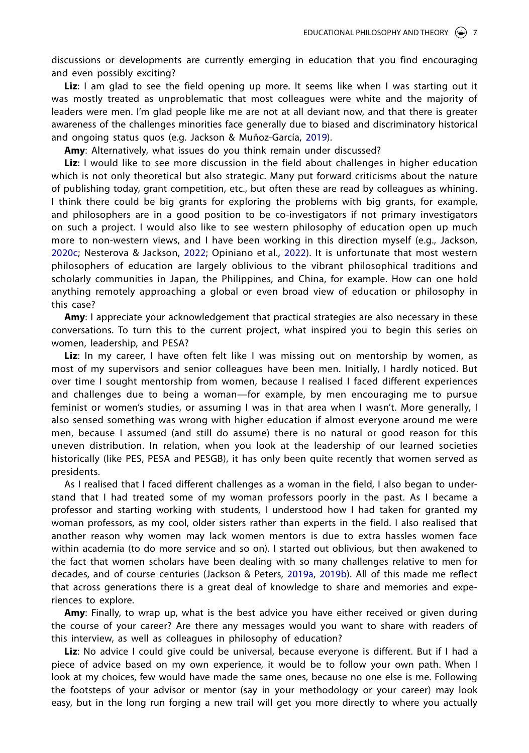discussions or developments are currently emerging in education that you find encouraging and even possibly exciting?

Liz: I am glad to see the field opening up more. It seems like when I was starting out it was mostly treated as unproblematic that most colleagues were white and the majority of leaders were men. I'm glad people like me are not at all deviant now, and that there is greater awareness of the challenges minorities face generally due to biased and discriminatory historical and ongoing status quos (e.g. Jackson & Muñoz-García, [2019](#page-8-16)).

<span id="page-7-3"></span><span id="page-7-0"></span>**Amy**: Alternatively, what issues do you think remain under discussed?

**Liz**: I would like to see more discussion in the field about challenges in higher education which is not only theoretical but also strategic. Many put forward criticisms about the nature of publishing today, grant competition, etc., but often these are read by colleagues as whining. I think there could be big grants for exploring the problems with big grants, for example, and philosophers are in a good position to be co-investigators if not primary investigators on such a project. I would also like to see western philosophy of education open up much more to non-western views, and I have been working in this direction myself (e.g., Jackson, [2020c;](#page-8-17) Nesterova & Jackson, [2022;](#page-9-2) Opiniano et al., [2022\)](#page-9-3). It is unfortunate that most western philosophers of education are largely oblivious to the vibrant philosophical traditions and scholarly communities in Japan, the Philippines, and China, for example. How can one hold anything remotely approaching a global or even broad view of education or philosophy in this case?

<span id="page-7-2"></span>**Amy:** I appreciate your acknowledgement that practical strategies are also necessary in these conversations. To turn this to the current project, what inspired you to begin this series on women, leadership, and PESA?

Liz: In my career, I have often felt like I was missing out on mentorship by women, as most of my supervisors and senior colleagues have been men. Initially, I hardly noticed. But over time I sought mentorship from women, because I realised I faced different experiences and challenges due to being a woman—for example, by men encouraging me to pursue feminist or women's studies, or assuming I was in that area when I wasn't. More generally, I also sensed something was wrong with higher education if almost everyone around me were men, because I assumed (and still do assume) there is no natural or good reason for this uneven distribution. In relation, when you look at the leadership of our learned societies historically (like PES, PESA and PESGB), it has only been quite recently that women served as presidents.

As I realised that I faced different challenges as a woman in the field, I also began to understand that I had treated some of my woman professors poorly in the past. As I became a professor and starting working with students, I understood how I had taken for granted my woman professors, as my cool, older sisters rather than experts in the field. I also realised that another reason why women may lack women mentors is due to extra hassles women face within academia (to do more service and so on). I started out oblivious, but then awakened to the fact that women scholars have been dealing with so many challenges relative to men for decades, and of course centuries (Jackson & Peters, [2019a](#page-9-4), [2019b](#page-8-18)). All of this made me reflect that across generations there is a great deal of knowledge to share and memories and experiences to explore.

<span id="page-7-1"></span>**Amy**: Finally, to wrap up, what is the best advice you have either received or given during the course of your career? Are there any messages would you want to share with readers of this interview, as well as colleagues in philosophy of education?

**Liz**: No advice I could give could be universal, because everyone is different. But if I had a piece of advice based on my own experience, it would be to follow your own path. When I look at my choices, few would have made the same ones, because no one else is me. Following the footsteps of your advisor or mentor (say in your methodology or your career) may look easy, but in the long run forging a new trail will get you more directly to where you actually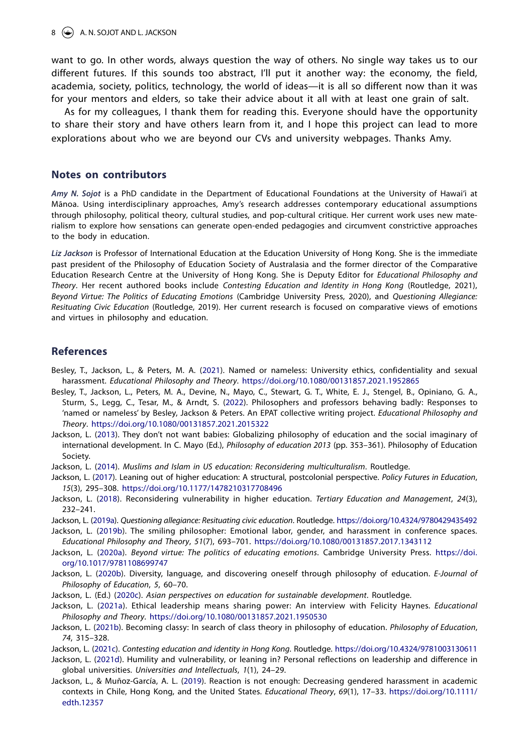want to go. In other words, always question the way of others. No single way takes us to our different futures. If this sounds too abstract, I'll put it another way: the economy, the field, academia, society, politics, technology, the world of ideas—it is all so different now than it was for your mentors and elders, so take their advice about it all with at least one grain of salt.

As for my colleagues, I thank them for reading this. Everyone should have the opportunity to share their story and have others learn from it, and I hope this project can lead to more explorations about who we are beyond our CVs and university webpages. Thanks Amy.

#### **Notes on contributors**

*Amy N. Sojot* is a PhD candidate in the Department of Educational Foundations at the University of Hawai'i at Mānoa. Using interdisciplinary approaches, Amy's research addresses contemporary educational assumptions through philosophy, political theory, cultural studies, and pop-cultural critique. Her current work uses new materialism to explore how sensations can generate open-ended pedagogies and circumvent constrictive approaches to the body in education.

*Liz Jackson* is Professor of International Education at the Education University of Hong Kong. She is the immediate past president of the Philosophy of Education Society of Australasia and the former director of the Comparative Education Research Centre at the University of Hong Kong. She is Deputy Editor for *Educational Philosophy and Theory*. Her recent authored books include *Contesting Education and Identity in Hong Kong* (Routledge, 2021), *Beyond Virtue: The Politics of Educating Emotions* (Cambridge University Press, 2020), and *Questioning Allegiance: Resituating Civic Education* (Routledge, 2019). Her current research is focused on comparative views of emotions and virtues in philosophy and education.

## **References**

- <span id="page-8-14"></span>Besley, T., Jackson, L., & Peters, M. A. ([2021](#page-6-0)). Named or nameless: University ethics, confidentiality and sexual harassment. *Educational Philosophy and Theory*. <https://doi.org/10.1080/00131857.2021.1952865>
- <span id="page-8-15"></span>Besley, T., Jackson, L., Peters, M. A., Devine, N., Mayo, C., Stewart, G. T., White, E. J., Stengel, B., Opiniano, G. A., Sturm, S., Legg, C., Tesar, M., & Arndt, S. [\(2022](#page-6-1)). Philosophers and professors behaving badly: Responses to 'named or nameless' by Besley, Jackson & Peters. An EPAT collective writing project. *Educational Philosophy and Theory*. <https://doi.org/10.1080/00131857.2021.2015322>

<span id="page-8-4"></span>Jackson, L. ([2013](#page-3-0)). They don't not want babies: Globalizing philosophy of education and the social imaginary of international development. In C. Mayo (Ed.), *Philosophy of education 2013* (pp. 353–361). Philosophy of Education Society.

<span id="page-8-3"></span>Jackson, L. ([2014](#page-3-1)). *Muslims and Islam in US education: Reconsidering multiculturalism*. Routledge.

<span id="page-8-9"></span>Jackson, L. ([2017](#page-5-0)). Leaning out of higher education: A structural, postcolonial perspective. *Policy Futures in Education*, *15*(3), 295–308. <https://doi.org/10.1177/1478210317708496>

<span id="page-8-11"></span>Jackson, L. ([2018](#page-6-2)). Reconsidering vulnerability in higher education. *Tertiary Education and Management*, *24*(3), 232–241.

<span id="page-8-8"></span>Jackson, L. ([2019a\)](#page-4-0). *Questioning allegiance: Resituating civic education*. Routledge. <https://doi.org/10.4324/9780429435492>

- <span id="page-8-10"></span>Jackson, L. ([2019b](#page-5-1)). The smiling philosopher: Emotional labor, gender, and harassment in conference spaces. *Educational Philosophy and Theory*, *51*(7), 693–701. <https://doi.org/10.1080/00131857.2017.1343112>
- <span id="page-8-6"></span><span id="page-8-5"></span>Jackson, L. ([2020a](#page-4-1)). *Beyond virtue: The politics of educating emotions*. Cambridge University Press. [https://doi.](https://doi.org/10.1017/9781108699747) [org/10.1017/9781108699747](https://doi.org/10.1017/9781108699747)
- <span id="page-8-1"></span>Jackson, L. ([2020b](#page-2-0)). Diversity, language, and discovering oneself through philosophy of education. *E-Journal of Philosophy of Education*, *5*, 60–70.
- <span id="page-8-17"></span><span id="page-8-13"></span>Jackson, L. (Ed.) ([2020c](#page-6-3)). *Asian perspectives on education for sustainable development*. Routledge.
- <span id="page-8-0"></span>Jackson, L. [\(2021a](#page-2-1)). Ethical leadership means sharing power: An interview with Felicity Haynes. *Educational Philosophy and Theory*. <https://doi.org/10.1080/00131857.2021.1950530>
- <span id="page-8-2"></span>Jackson, L. ([2021b\)](#page-3-2). Becoming classy: In search of class theory in philosophy of education. *Philosophy of Education*, *74*, 315–328.

<span id="page-8-7"></span>Jackson, L. [\(2021c\)](#page-4-2). *Contesting education and identity in Hong Kong*. Routledge. <https://doi.org/10.4324/9781003130611>

- <span id="page-8-12"></span>Jackson, L. [\(2021d\)](#page-6-4). Humility and vulnerability, or leaning in? Personal reflections on leadership and difference in global universities. *Universities and Intellectuals*, *1*(1), 24–29.
- <span id="page-8-18"></span><span id="page-8-16"></span>Jackson, L., & Muñoz-García, A. L. [\(2019](#page-7-0)). Reaction is not enough: Decreasing gendered harassment in academic contexts in Chile, Hong Kong, and the United States. *Educational Theory*, *69*(1), 17–33. [https://doi.org/10.1111/](https://doi.org/10.1111/edth.12357) [edth.12357](https://doi.org/10.1111/edth.12357)